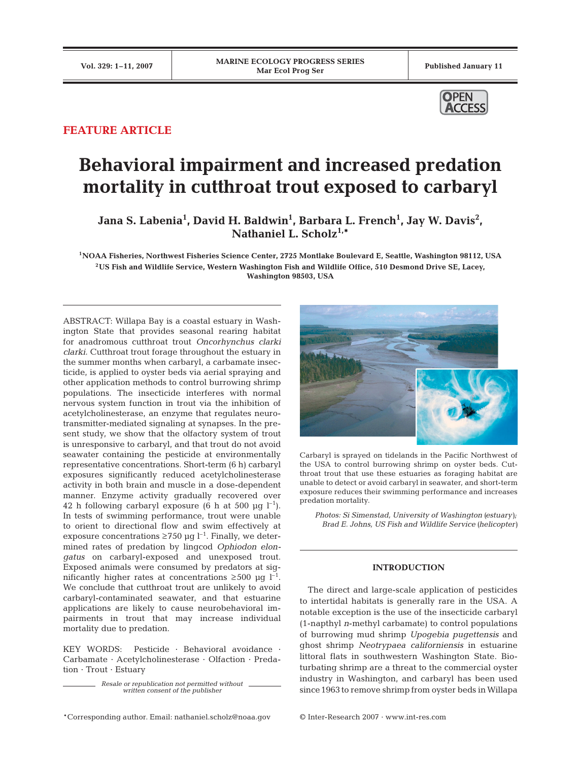

## **FEATURE ARTICLE**

# **Behavioral impairment and increased predation mortality in cutthroat trout exposed to carbaryl**

Jana S. Labenia<sup>1</sup>, David H. Baldwin<sup>1</sup>, Barbara L. French<sup>1</sup>, Jay W. Davis<sup>2</sup>, Nathaniel L. Scholz<sup>1,\*</sup>

**1NOAA Fisheries, Northwest Fisheries Science Center, 2725 Montlake Boulevard E, Seattle, Washington 98112, USA 2US Fish and Wildlife Service, Western Washington Fish and Wildlife Office, 510 Desmond Drive SE, Lacey, Washington 98503, USA**

ABSTRACT: Willapa Bay is a coastal estuary in Washington State that provides seasonal rearing habitat for anadromous cutthroat trout *Oncorhynchus clarki clarki*. Cutthroat trout forage throughout the estuary in the summer months when carbaryl, a carbamate insecticide, is applied to oyster beds via aerial spraying and other application methods to control burrowing shrimp populations. The insecticide interferes with normal nervous system function in trout via the inhibition of acetylcholinesterase, an enzyme that regulates neurotransmitter-mediated signaling at synapses. In the present study, we show that the olfactory system of trout is unresponsive to carbaryl, and that trout do not avoid seawater containing the pesticide at environmentally representative concentrations. Short-term (6 h) carbaryl exposures significantly reduced acetylcholinesterase activity in both brain and muscle in a dose-dependent manner. Enzyme activity gradually recovered over 42 h following carbaryl exposure (6 h at 500  $\mu$ g l<sup>-1</sup>). In tests of swimming performance, trout were unable to orient to directional flow and swim effectively at exposure concentrations  $\geq$ 750 µg l<sup>-1</sup>. Finally, we determined rates of predation by lingcod *Ophiodon elongatus* on carbaryl-exposed and unexposed trout. Exposed animals were consumed by predators at significantly higher rates at concentrations  $\geq 500$  µg l<sup>-1</sup>. We conclude that cutthroat trout are unlikely to avoid carbaryl-contaminated seawater, and that estuarine applications are likely to cause neurobehavioral impairments in trout that may increase individual mortality due to predation.

KEY WORDS: Pesticide · Behavioral avoidance · Carbamate · Acetylcholinesterase · Olfaction · Predation · Trout · Estuary

> *Resale or republication not permitted without written consent of the publisher*



Carbaryl is sprayed on tidelands in the Pacific Northwest of the USA to control burrowing shrimp on oyster beds. Cutthroat trout that use these estuaries as foraging habitat are unable to detect or avoid carbaryl in seawater, and short-term exposure reduces their swimming performance and increases predation mortality.

*Photos: Si Simenstad, University of Washington (estuary); Brad E. Johns, US Fish and Wildlife Service (helicopter)*

## **INTRODUCTION**

The direct and large-scale application of pesticides to intertidal habitats is generally rare in the USA. A notable exception is the use of the insecticide carbaryl (1-napthyl *n*-methyl carbamate) to control populations of burrowing mud shrimp *Upogebia pugettensis* and ghost shrimp *Neotrypaea californiensis* in estuarine littoral flats in southwestern Washington State. Bioturbating shrimp are a threat to the commercial oyster industry in Washington, and carbaryl has been used since 1963 to remove shrimp from oyster beds in Willapa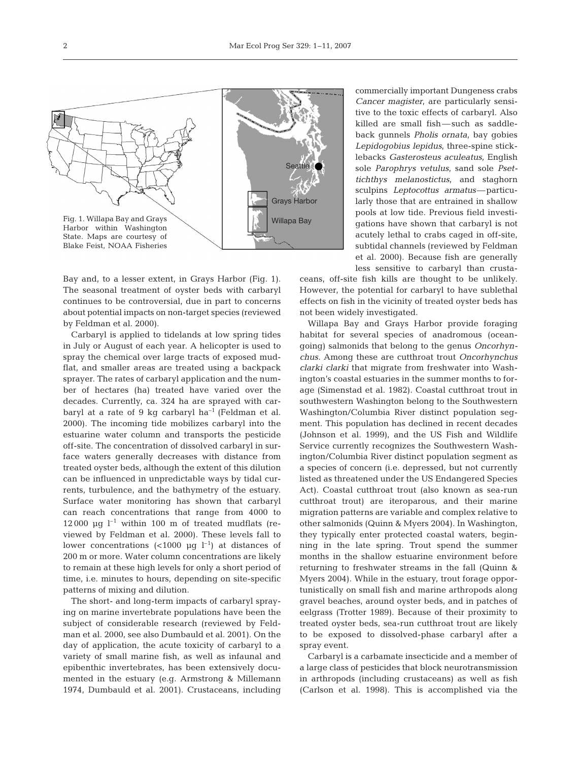

Bay and, to a lesser extent, in Grays Harbor (Fig. 1). The seasonal treatment of oyster beds with carbaryl continues to be controversial, due in part to concerns about potential impacts on non-target species (reviewed by Feldman et al. 2000).

Carbaryl is applied to tidelands at low spring tides in July or August of each year. A helicopter is used to spray the chemical over large tracts of exposed mudflat, and smaller areas are treated using a backpack sprayer. The rates of carbaryl application and the number of hectares (ha) treated have varied over the decades. Currently, ca. 324 ha are sprayed with carbaryl at a rate of 9 kg carbaryl  $ha^{-1}$  (Feldman et al. 2000). The incoming tide mobilizes carbaryl into the estuarine water column and transports the pesticide off-site. The concentration of dissolved carbaryl in surface waters generally decreases with distance from treated oyster beds, although the extent of this dilution can be influenced in unpredictable ways by tidal currents, turbulence, and the bathymetry of the estuary. Surface water monitoring has shown that carbaryl can reach concentrations that range from 4000 to 12 000  $\mu$ q l<sup>-1</sup> within 100 m of treated mudflats (reviewed by Feldman et al. 2000). These levels fall to lower concentrations  $\left($ <1000 µg l<sup>-1</sup>) at distances of 200 m or more. Water column concentrations are likely to remain at these high levels for only a short period of time, i.e. minutes to hours, depending on site-specific patterns of mixing and dilution.

The short- and long-term impacts of carbaryl spraying on marine invertebrate populations have been the subject of considerable research (reviewed by Feldman et al. 2000, see also Dumbauld et al. 2001). On the day of application, the acute toxicity of carbaryl to a variety of small marine fish, as well as infaunal and epibenthic invertebrates, has been extensively documented in the estuary (e.g. Armstrong & Millemann 1974, Dumbauld et al. 2001). Crustaceans, including

commercially important Dungeness crabs *Cancer magister*, are particularly sensitive to the toxic effects of carbaryl. Also killed are small fish—such as saddleback gunnels *Pholis ornata*, bay gobies *Lepidogobius lepidus*, three-spine sticklebacks *Gasterosteus aculeatus*, English sole *Parophrys vetulus*, sand sole *Psettichthys melanostictus*, and staghorn sculpins *Leptocottus armatus*—particularly those that are entrained in shallow pools at low tide. Previous field investigations have shown that carbaryl is not acutely lethal to crabs caged in off-site, subtidal channels (reviewed by Feldman et al. 2000). Because fish are generally less sensitive to carbaryl than crusta-

ceans, off-site fish kills are thought to be unlikely. However, the potential for carbaryl to have sublethal effects on fish in the vicinity of treated oyster beds has not been widely investigated.

Willapa Bay and Grays Harbor provide foraging habitat for several species of anadromous (oceangoing) salmonids that belong to the genus *Oncorhynchus.* Among these are cutthroat trout *Oncorhynchus clarki clarki* that migrate from freshwater into Washington's coastal estuaries in the summer months to forage (Simenstad et al. 1982). Coastal cutthroat trout in southwestern Washington belong to the Southwestern Washington/Columbia River distinct population segment. This population has declined in recent decades (Johnson et al. 1999), and the US Fish and Wildlife Service currently recognizes the Southwestern Washington/Columbia River distinct population segment as a species of concern (i.e. depressed, but not currently listed as threatened under the US Endangered Species Act). Coastal cutthroat trout (also known as sea-run cutthroat trout) are iteroparous, and their marine migration patterns are variable and complex relative to other salmonids (Quinn & Myers 2004). In Washington, they typically enter protected coastal waters, beginning in the late spring. Trout spend the summer months in the shallow estuarine environment before returning to freshwater streams in the fall (Quinn & Myers 2004). While in the estuary, trout forage opportunistically on small fish and marine arthropods along gravel beaches, around oyster beds, and in patches of eelgrass (Trotter 1989). Because of their proximity to treated oyster beds, sea-run cutthroat trout are likely to be exposed to dissolved-phase carbaryl after a spray event.

Carbaryl is a carbamate insecticide and a member of a large class of pesticides that block neurotransmission in arthropods (including crustaceans) as well as fish (Carlson et al. 1998). This is accomplished via the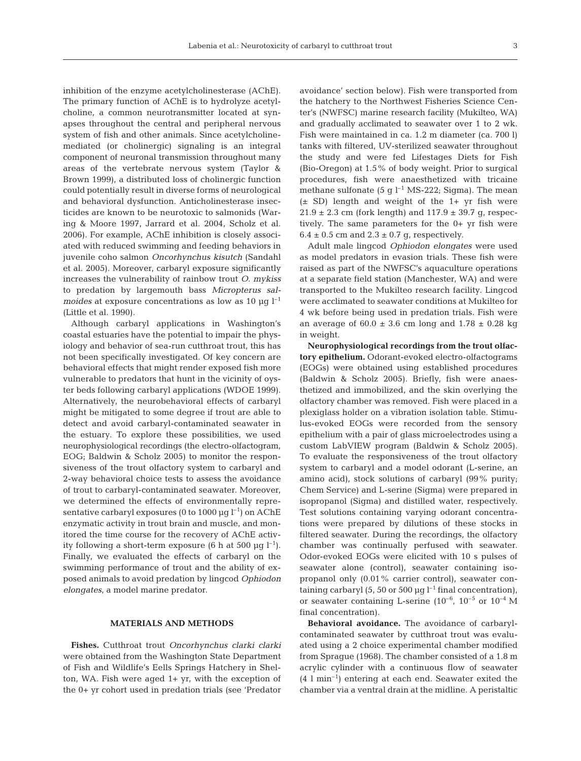inhibition of the enzyme acetylcholinesterase (AChE). The primary function of AChE is to hydrolyze acetylcholine, a common neurotransmitter located at synapses throughout the central and peripheral nervous system of fish and other animals. Since acetylcholinemediated (or cholinergic) signaling is an integral component of neuronal transmission throughout many areas of the vertebrate nervous system (Taylor & Brown 1999), a distributed loss of cholinergic function could potentially result in diverse forms of neurological and behavioral dysfunction. Anticholinesterase insecticides are known to be neurotoxic to salmonids (Waring & Moore 1997, Jarrard et al. 2004, Scholz et al. 2006). For example, AChE inhibition is closely associated with reduced swimming and feeding behaviors in juvenile coho salmon *Oncorhynchus kisutch* (Sandahl et al. 2005). Moreover, carbaryl exposure significantly increases the vulnerability of rainbow trout *O. mykiss* to predation by largemouth bass *Micropterus salmoides* at exposure concentrations as low as 10  $\mu$ g l<sup>-1</sup> (Little et al. 1990).

Although carbaryl applications in Washington's coastal estuaries have the potential to impair the physiology and behavior of sea-run cutthroat trout, this has not been specifically investigated. Of key concern are behavioral effects that might render exposed fish more vulnerable to predators that hunt in the vicinity of oyster beds following carbaryl applications (WDOE 1999). Alternatively, the neurobehavioral effects of carbaryl might be mitigated to some degree if trout are able to detect and avoid carbaryl-contaminated seawater in the estuary. To explore these possibilities, we used neurophysiological recordings (the electro-olfactogram, EOG; Baldwin & Scholz 2005) to monitor the responsiveness of the trout olfactory system to carbaryl and 2-way behavioral choice tests to assess the avoidance of trout to carbaryl-contaminated seawater. Moreover, we determined the effects of environmentally representative carbaryl exposures (0 to 1000  $\mu$ g l<sup>-1</sup>) on AChE enzymatic activity in trout brain and muscle, and monitored the time course for the recovery of AChE activity following a short-term exposure (6 h at 500  $\mu$ g l<sup>-1</sup>). Finally, we evaluated the effects of carbaryl on the swimming performance of trout and the ability of exposed animals to avoid predation by lingcod *Ophiodon elongates*, a model marine predator.

## **MATERIALS AND METHODS**

**Fishes.** Cutthroat trout *Oncorhynchus clarki clarki* were obtained from the Washington State Department of Fish and Wildlife's Eells Springs Hatchery in Shelton, WA. Fish were aged 1+ yr, with the exception of the 0+ yr cohort used in predation trials (see 'Predator

avoidance' section below). Fish were transported from the hatchery to the Northwest Fisheries Science Center's (NWFSC) marine research facility (Mukilteo, WA) and gradually acclimated to seawater over 1 to 2 wk. Fish were maintained in ca. 1.2 m diameter (ca. 700 l) tanks with filtered, UV-sterilized seawater throughout the study and were fed Lifestages Diets for Fish (Bio-Oregon) at 1.5% of body weight. Prior to surgical procedures, fish were anaesthetized with tricaine methane sulfonate  $(5 \text{ q } l^{-1} \text{ MS-222}$ ; Sigma). The mean  $(\pm$  SD) length and weight of the 1+ yr fish were  $21.9 \pm 2.3$  cm (fork length) and  $117.9 \pm 39.7$  g, respectively. The same parameters for the 0+ yr fish were  $6.4 \pm 0.5$  cm and  $2.3 \pm 0.7$  g, respectively.

Adult male lingcod *Ophiodon elongates* were used as model predators in evasion trials. These fish were raised as part of the NWFSC's aquaculture operations at a separate field station (Manchester, WA) and were transported to the Mukilteo research facility. Lingcod were acclimated to seawater conditions at Mukilteo for 4 wk before being used in predation trials. Fish were an average of  $60.0 \pm 3.6$  cm long and  $1.78 \pm 0.28$  kg in weight.

**Neurophysiological recordings from the trout olfactory epithelium.** Odorant-evoked electro-olfactograms (EOGs) were obtained using established procedures (Baldwin & Scholz 2005). Briefly, fish were anaesthetized and immobilized, and the skin overlying the olfactory chamber was removed. Fish were placed in a plexiglass holder on a vibration isolation table. Stimulus-evoked EOGs were recorded from the sensory epithelium with a pair of glass microelectrodes using a custom LabVIEW program (Baldwin & Scholz 2005). To evaluate the responsiveness of the trout olfactory system to carbaryl and a model odorant (L-serine, an amino acid), stock solutions of carbaryl (99% purity; Chem Service) and L-serine (Sigma) were prepared in isopropanol (Sigma) and distilled water, respectively. Test solutions containing varying odorant concentrations were prepared by dilutions of these stocks in filtered seawater. During the recordings, the olfactory chamber was continually perfused with seawater. Odor-evoked EOGs were elicited with 10 s pulses of seawater alone (control), seawater containing isopropanol only (0.01% carrier control), seawater containing carbaryl (5, 50 or 500  $\mu$ g l<sup>-1</sup> final concentration), or seawater containing L-serine  $(10^{-6}, 10^{-5} \text{ or } 10^{-4} \text{ M})$ final concentration).

**Behavioral avoidance.** The avoidance of carbarylcontaminated seawater by cutthroat trout was evaluated using a 2 choice experimental chamber modified from Sprague (1968). The chamber consisted of a 1.8 m acrylic cylinder with a continuous flow of seawater  $(4 \text{ l min}^{-1})$  entering at each end. Seawater exited the chamber via a ventral drain at the midline. A peristaltic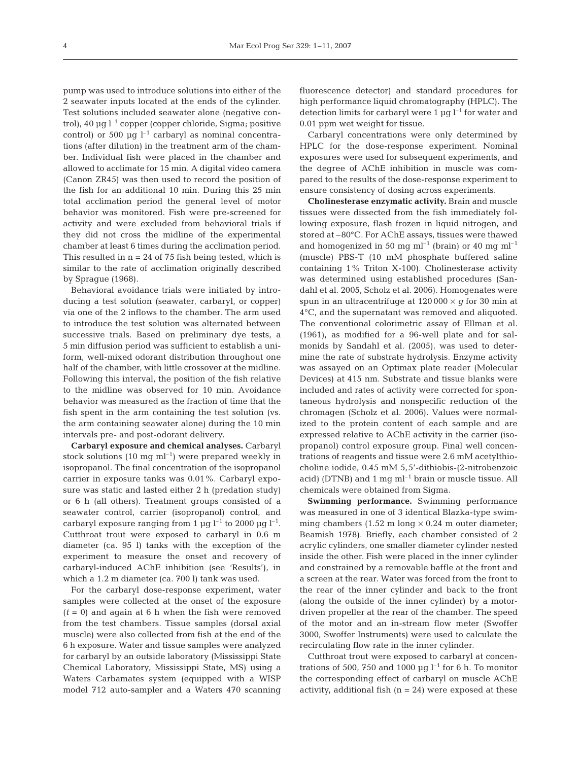pump was used to introduce solutions into either of the 2 seawater inputs located at the ends of the cylinder. Test solutions included seawater alone (negative control), 40 µg  $l^{-1}$  copper (copper chloride, Sigma; positive control) or 500  $\mu$ g l<sup>-1</sup> carbaryl as nominal concentrations (after dilution) in the treatment arm of the chamber. Individual fish were placed in the chamber and allowed to acclimate for 15 min. A digital video camera (Canon ZR45) was then used to record the position of the fish for an additional 10 min. During this 25 min total acclimation period the general level of motor behavior was monitored. Fish were pre-screened for activity and were excluded from behavioral trials if they did not cross the midline of the experimental chamber at least 6 times during the acclimation period. This resulted in  $n = 24$  of 75 fish being tested, which is similar to the rate of acclimation originally described by Sprague (1968).

Behavioral avoidance trials were initiated by introducing a test solution (seawater, carbaryl, or copper) via one of the 2 inflows to the chamber. The arm used to introduce the test solution was alternated between successive trials. Based on preliminary dye tests, a 5 min diffusion period was sufficient to establish a uniform, well-mixed odorant distribution throughout one half of the chamber, with little crossover at the midline. Following this interval, the position of the fish relative to the midline was observed for 10 min. Avoidance behavior was measured as the fraction of time that the fish spent in the arm containing the test solution (vs. the arm containing seawater alone) during the 10 min intervals pre- and post-odorant delivery.

**Carbaryl exposure and chemical analyses.** Carbaryl stock solutions (10 mg  $ml^{-1}$ ) were prepared weekly in isopropanol. The final concentration of the isopropanol carrier in exposure tanks was 0.01%. Carbaryl exposure was static and lasted either 2 h (predation study) or 6 h (all others). Treatment groups consisted of a seawater control, carrier (isopropanol) control, and carbaryl exposure ranging from 1  $\mu$ g l<sup>-1</sup> to 2000  $\mu$ g l<sup>-1</sup>. Cutthroat trout were exposed to carbaryl in 0.6 m diameter (ca. 95 l) tanks with the exception of the experiment to measure the onset and recovery of carbaryl-induced AChE inhibition (see 'Results'), in which a 1.2 m diameter (ca. 700 l) tank was used.

For the carbaryl dose-response experiment, water samples were collected at the onset of the exposure  $(t = 0)$  and again at 6 h when the fish were removed from the test chambers. Tissue samples (dorsal axial muscle) were also collected from fish at the end of the 6 h exposure. Water and tissue samples were analyzed for carbaryl by an outside laboratory (Mississippi State Chemical Laboratory, Mississippi State, MS) using a Waters Carbamates system (equipped with a WISP model 712 auto-sampler and a Waters 470 scanning

fluorescence detector) and standard procedures for high performance liquid chromatography (HPLC). The detection limits for carbaryl were 1  $\mu$ g l<sup>-1</sup> for water and 0.01 ppm wet weight for tissue.

Carbaryl concentrations were only determined by HPLC for the dose-response experiment. Nominal exposures were used for subsequent experiments, and the degree of AChE inhibition in muscle was compared to the results of the dose-response experiment to ensure consistency of dosing across experiments.

**Cholinesterase enzymatic activity.** Brain and muscle tissues were dissected from the fish immediately following exposure, flash frozen in liquid nitrogen, and stored at –80°C. For AChE assays, tissues were thawed and homogenized in 50 mg ml<sup>-1</sup> (brain) or 40 mg ml<sup>-1</sup> (muscle) PBS-T (10 mM phosphate buffered saline containing 1% Triton X-100). Cholinesterase activity was determined using established procedures (Sandahl et al. 2005, Scholz et al. 2006). Homogenates were spun in an ultracentrifuge at  $120000 \times g$  for 30 min at 4°C, and the supernatant was removed and aliquoted. The conventional colorimetric assay of Ellman et al. (1961), as modified for a 96-well plate and for salmonids by Sandahl et al. (2005), was used to determine the rate of substrate hydrolysis. Enzyme activity was assayed on an Optimax plate reader (Molecular Devices) at 415 nm. Substrate and tissue blanks were included and rates of activity were corrected for spontaneous hydrolysis and nonspecific reduction of the chromagen (Scholz et al. 2006). Values were normalized to the protein content of each sample and are expressed relative to AChE activity in the carrier (isopropanol) control exposure group. Final well concentrations of reagents and tissue were 2.6 mM acetylthiocholine iodide, 0.45 mM 5,5'-dithiobis-(2-nitrobenzoic acid) (DTNB) and  $1 \text{ mg} \text{ ml}^{-1}$  brain or muscle tissue. All chemicals were obtained from Sigma.

**Swimming performance.** Swimming performance was measured in one of 3 identical Blazka-type swimming chambers  $(1.52 \text{ m long} \times 0.24 \text{ m outer diameter})$ Beamish 1978). Briefly, each chamber consisted of 2 acrylic cylinders, one smaller diameter cylinder nested inside the other. Fish were placed in the inner cylinder and constrained by a removable baffle at the front and a screen at the rear. Water was forced from the front to the rear of the inner cylinder and back to the front (along the outside of the inner cylinder) by a motordriven propeller at the rear of the chamber. The speed of the motor and an in-stream flow meter (Swoffer 3000, Swoffer Instruments) were used to calculate the recirculating flow rate in the inner cylinder.

Cutthroat trout were exposed to carbaryl at concentrations of 500, 750 and 1000  $\mu$ g l<sup>-1</sup> for 6 h. To monitor the corresponding effect of carbaryl on muscle AChE activity, additional fish  $(n = 24)$  were exposed at these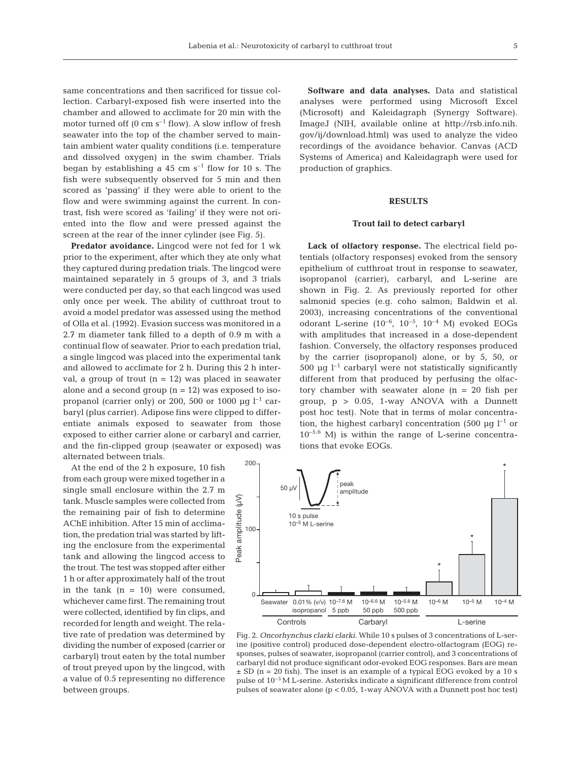same concentrations and then sacrificed for tissue collection. Carbaryl-exposed fish were inserted into the chamber and allowed to acclimate for 20 min with the motor turned off  $(0 \text{ cm s}^{-1} \text{ flow})$ . A slow inflow of fresh seawater into the top of the chamber served to maintain ambient water quality conditions (i.e. temperature and dissolved oxygen) in the swim chamber. Trials began by establishing a 45 cm  $s^{-1}$  flow for 10 s. The fish were subsequently observed for 5 min and then scored as 'passing' if they were able to orient to the flow and were swimming against the current. In contrast, fish were scored as 'failing' if they were not oriented into the flow and were pressed against the screen at the rear of the inner cylinder (see Fig. 5).

**Predator avoidance.** Lingcod were not fed for 1 wk prior to the experiment, after which they ate only what they captured during predation trials. The lingcod were maintained separately in 5 groups of 3, and 3 trials were conducted per day, so that each lingcod was used only once per week. The ability of cutthroat trout to avoid a model predator was assessed using the method of Olla et al. (1992). Evasion success was monitored in a 2.7 m diameter tank filled to a depth of 0.9 m with a continual flow of seawater. Prior to each predation trial, a single lingcod was placed into the experimental tank and allowed to acclimate for 2 h. During this 2 h interval, a group of trout  $(n = 12)$  was placed in seawater alone and a second group  $(n = 12)$  was exposed to isopropanol (carrier only) or 200, 500 or 1000  $\mu$ g l<sup>-1</sup> carbaryl (plus carrier). Adipose fins were clipped to differentiate animals exposed to seawater from those exposed to either carrier alone or carbaryl and carrier, and the fin-clipped group (seawater or exposed) was alternated between trials.

At the end of the 2 h exposure, 10 fish from each group were mixed together in a single small enclosure within the 2.7 m tank. Muscle samples were collected from the remaining pair of fish to determine AChE inhibition. After 15 min of acclimation, the predation trial was started by lifting the enclosure from the experimental tank and allowing the lingcod access to the trout. The test was stopped after either 1 h or after approximately half of the trout in the tank  $(n = 10)$  were consumed, whichever came first. The remaining trout were collected, identified by fin clips, and recorded for length and weight. The relative rate of predation was determined by dividing the number of exposed (carrier or carbaryl) trout eaten by the total number of trout preyed upon by the lingcod, with a value of 0.5 representing no difference between groups.

**Software and data analyses.** Data and statistical analyses were performed using Microsoft Excel (Microsoft) and Kaleidagraph (Synergy Software). ImageJ (NIH, available online at http://rsb.info.nih. gov/ij/download.html) was used to analyze the video recordings of the avoidance behavior. Canvas (ACD Systems of America) and Kaleidagraph were used for production of graphics.

### **RESULTS**

#### **Trout fail to detect carbaryl**

**Lack of olfactory response.** The electrical field potentials (olfactory responses) evoked from the sensory epithelium of cutthroat trout in response to seawater, isopropanol (carrier), carbaryl, and L-serine are shown in Fig. 2. As previously reported for other salmonid species (e.g. coho salmon; Baldwin et al. 2003), increasing concentrations of the conventional odorant L-serine  $(10^{-6}, 10^{-5}, 10^{-4}$  M) evoked EOGs with amplitudes that increased in a dose-dependent fashion. Conversely, the olfactory responses produced by the carrier (isopropanol) alone, or by 5, 50, or 500  $\mu$ g l<sup>-1</sup> carbaryl were not statistically significantly different from that produced by perfusing the olfactory chamber with seawater alone  $(n = 20$  fish per group,  $p > 0.05$ , 1-way ANOVA with a Dunnett post hoc test). Note that in terms of molar concentration, the highest carbaryl concentration (500  $\mu$ g l<sup>-1</sup> or  $10^{-5.6}$  M) is within the range of L-serine concentrations that evoke EOGs.



Fig. 2. *Oncorhynchus clarki clarki*. While 10 s pulses of 3 concentrations of L-serine (positive control) produced dose-dependent electro-olfactogram (EOG) responses, pulses of seawater, isopropanol (carrier control), and 3 concentrations of carbaryl did not produce significant odor-evoked EOG responses. Bars are mean  $\pm$  SD (n = 20 fish). The inset is an example of a typical EOG evoked by a 10 s pulse of  $10^{-5}$  M L-serine. Asterisks indicate a significant difference from control pulses of seawater alone (p < 0.05, 1-way ANOVA with a Dunnett post hoc test)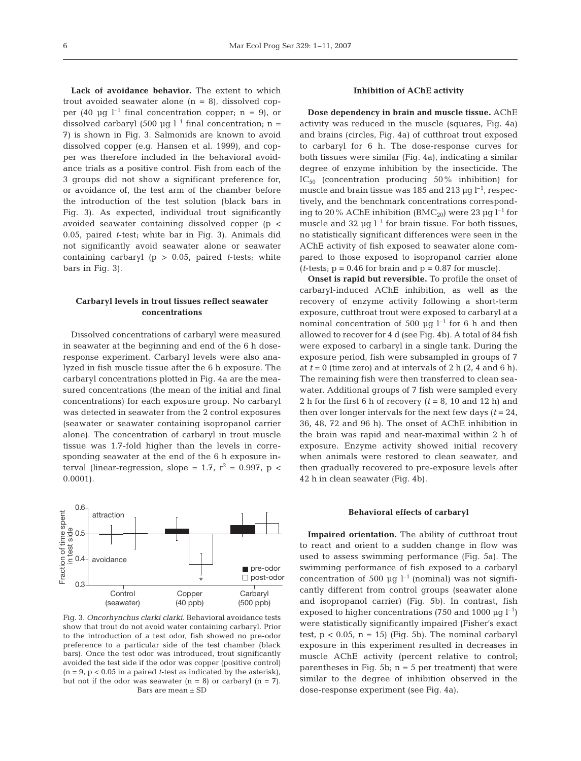Lack of avoidance behavior. The extent to which trout avoided seawater alone  $(n = 8)$ , dissolved copper (40  $\mu$ q l<sup>-1</sup> final concentration copper; n = 9), or dissolved carbaryl (500 µg  $l^{-1}$  final concentration; n = 7) is shown in Fig. 3. Salmonids are known to avoid dissolved copper (e.g. Hansen et al. 1999), and copper was therefore included in the behavioral avoidance trials as a positive control. Fish from each of the 3 groups did not show a significant preference for, or avoidance of, the test arm of the chamber before the introduction of the test solution (black bars in Fig. 3). As expected, individual trout significantly avoided seawater containing dissolved copper (p < 0.05, paired *t*-test; white bar in Fig. 3). Animals did not significantly avoid seawater alone or seawater containing carbaryl (p > 0.05, paired *t*-tests; white bars in Fig. 3).

## **Carbaryl levels in trout tissues reflect seawater concentrations**

Dissolved concentrations of carbaryl were measured in seawater at the beginning and end of the 6 h doseresponse experiment. Carbaryl levels were also analyzed in fish muscle tissue after the 6 h exposure. The carbaryl concentrations plotted in Fig. 4a are the measured concentrations (the mean of the initial and final concentrations) for each exposure group. No carbaryl was detected in seawater from the 2 control exposures (seawater or seawater containing isopropanol carrier alone). The concentration of carbaryl in trout muscle tissue was 1.7-fold higher than the levels in corresponding seawater at the end of the 6 h exposure interval (linear-regression, slope = 1.7,  $r^2$  = 0.997, p < 0.0001).



Fig. 3. *Oncorhynchus clarki clarki*. Behavioral avoidance tests show that trout do not avoid water containing carbaryl. Prior to the introduction of a test odor, fish showed no pre-odor preference to a particular side of the test chamber (black bars). Once the test odor was introduced, trout significantly avoided the test side if the odor was copper (positive control) (n = 9, p < 0.05 in a paired *t*-test as indicated by the asterisk), but not if the odor was seawater  $(n = 8)$  or carbaryl  $(n = 7)$ . Bars are mean ± SD

## **Inhibition of AChE activity**

**Dose dependency in brain and muscle tissue.** AChE activity was reduced in the muscle (squares, Fig. 4a) and brains (circles, Fig. 4a) of cutthroat trout exposed to carbaryl for 6 h. The dose-response curves for both tissues were similar (Fig. 4a), indicating a similar degree of enzyme inhibition by the insecticide. The  $IC_{50}$  (concentration producing 50% inhibition) for muscle and brain tissue was 185 and 213  $\mu$ q l<sup>-1</sup>, respectively, and the benchmark concentrations corresponding to 20% AChE inhibition (BMC<sub>20</sub>) were 23 µg  $l^{-1}$  for muscle and 32  $\mu$ q l<sup>-1</sup> for brain tissue. For both tissues, no statistically significant differences were seen in the AChE activity of fish exposed to seawater alone compared to those exposed to isopropanol carrier alone (*t*-tests;  $p = 0.46$  for brain and  $p = 0.87$  for muscle).

**Onset is rapid but reversible.** To profile the onset of carbaryl-induced AChE inhibition, as well as the recovery of enzyme activity following a short-term exposure, cutthroat trout were exposed to carbaryl at a nominal concentration of 500  $\mu$ g l<sup>-1</sup> for 6 h and then allowed to recover for 4 d (see Fig. 4b). A total of 84 fish were exposed to carbaryl in a single tank. During the exposure period, fish were subsampled in groups of 7 at  $t = 0$  (time zero) and at intervals of 2 h  $(2, 4, 4, 6, 6)$ . The remaining fish were then transferred to clean seawater. Additional groups of 7 fish were sampled every 2 h for the first 6 h of recovery  $(t = 8, 10, 12, h)$  and then over longer intervals for the next few days  $(t = 24$ , 36, 48, 72 and 96 h). The onset of AChE inhibition in the brain was rapid and near-maximal within 2 h of exposure. Enzyme activity showed initial recovery when animals were restored to clean seawater, and then gradually recovered to pre-exposure levels after 42 h in clean seawater (Fig. 4b).

## **Behavioral effects of carbaryl**

**Impaired orientation.** The ability of cutthroat trout to react and orient to a sudden change in flow was used to assess swimming performance (Fig. 5a). The swimming performance of fish exposed to a carbaryl concentration of 500 µg  $l^{-1}$  (nominal) was not significantly different from control groups (seawater alone and isopropanol carrier) (Fig. 5b). In contrast, fish exposed to higher concentrations (750 and 1000  $\mu$ g l<sup>-1</sup>) were statistically significantly impaired (Fisher's exact test,  $p < 0.05$ ,  $n = 15$ ) (Fig. 5b). The nominal carbaryl exposure in this experiment resulted in decreases in muscle AChE activity (percent relative to control; parentheses in Fig. 5b;  $n = 5$  per treatment) that were similar to the degree of inhibition observed in the dose-response experiment (see Fig. 4a).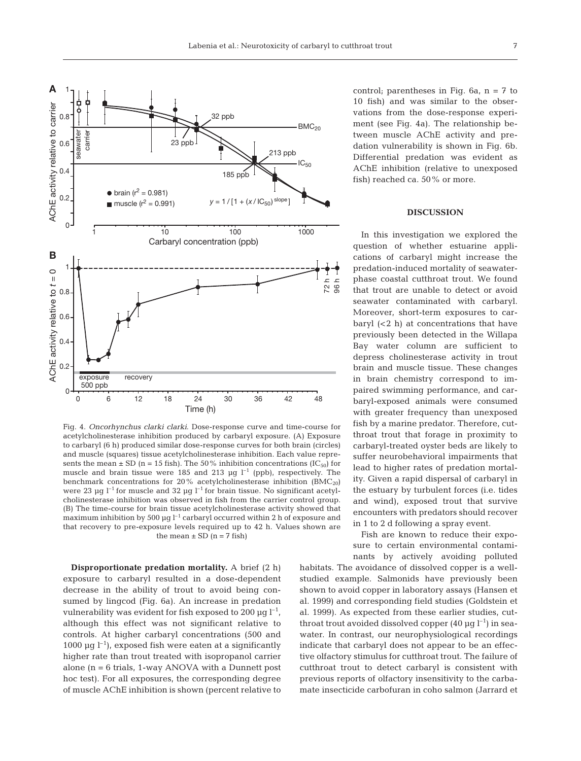

Fig. 4. *Oncorhynchus clarki clarki*. Dose-response curve and time-course for acetylcholinesterase inhibition produced by carbaryl exposure. (A) Exposure to carbaryl (6 h) produced similar dose-response curves for both brain (circles) and muscle (squares) tissue acetylcholinesterase inhibition. Each value represents the mean  $\pm$  SD (n = 15 fish). The 50% inhibition concentrations (IC<sub>50</sub>) for muscle and brain tissue were 185 and 213  $\mu$ g l<sup>-1</sup> (ppb), respectively. The benchmark concentrations for 20% acetylcholinesterase inhibition  $(BMC_{20})$ were 23  $\mu$ g l<sup>-1</sup> for muscle and 32  $\mu$ g l<sup>-1</sup> for brain tissue. No significant acetylcholinesterase inhibition was observed in fish from the carrier control group. (B) The time-course for brain tissue acetylcholinesterase activity showed that maximum inhibition by 500 µg  $l^{-1}$  carbaryl occurred within 2 h of exposure and that recovery to pre-exposure levels required up to 42 h. Values shown are the mean  $\pm$  SD (n = 7 fish)

**Disproportionate predation mortality.** A brief (2 h) exposure to carbaryl resulted in a dose-dependent decrease in the ability of trout to avoid being consumed by lingcod (Fig. 6a). An increase in predation vulnerability was evident for fish exposed to 200  $\mu$ g l<sup>-1</sup>, although this effect was not significant relative to controls. At higher carbaryl concentrations (500 and 1000  $\mu$ g l<sup>-1</sup>), exposed fish were eaten at a significantly higher rate than trout treated with isopropanol carrier alone  $(n = 6 \text{ trials}, 1\text{-way ANOVA with a Dunnett post})$ hoc test). For all exposures, the corresponding degree of muscle AChE inhibition is shown (percent relative to control; parentheses in Fig.  $6a$ ,  $n = 7$  to 10 fish) and was similar to the observations from the dose-response experiment (see Fig. 4a). The relationship between muscle AChE activity and predation vulnerability is shown in Fig. 6b. Differential predation was evident as AChE inhibition (relative to unexposed fish) reached ca. 50% or more.

## **DISCUSSION**

In this investigation we explored the question of whether estuarine applications of carbaryl might increase the predation-induced mortality of seawaterphase coastal cutthroat trout. We found that trout are unable to detect or avoid seawater contaminated with carbaryl. Moreover, short-term exposures to carbaryl  $( $2 \, h$ ) at concentrations that have$ previously been detected in the Willapa Bay water column are sufficient to depress cholinesterase activity in trout brain and muscle tissue. These changes in brain chemistry correspond to impaired swimming performance, and carbaryl-exposed animals were consumed with greater frequency than unexposed fish by a marine predator. Therefore, cutthroat trout that forage in proximity to carbaryl-treated oyster beds are likely to suffer neurobehavioral impairments that lead to higher rates of predation mortality. Given a rapid dispersal of carbaryl in the estuary by turbulent forces (i.e. tides and wind), exposed trout that survive encounters with predators should recover in 1 to 2 d following a spray event.

Fish are known to reduce their exposure to certain environmental contaminants by actively avoiding polluted

habitats. The avoidance of dissolved copper is a wellstudied example. Salmonids have previously been shown to avoid copper in laboratory assays (Hansen et al. 1999) and corresponding field studies (Goldstein et al. 1999). As expected from these earlier studies, cutthroat trout avoided dissolved copper  $(40 \mu g l^{-1})$  in seawater. In contrast, our neurophysiological recordings indicate that carbaryl does not appear to be an effective olfactory stimulus for cutthroat trout. The failure of cutthroat trout to detect carbaryl is consistent with previous reports of olfactory insensitivity to the carbamate insecticide carbofuran in coho salmon (Jarrard et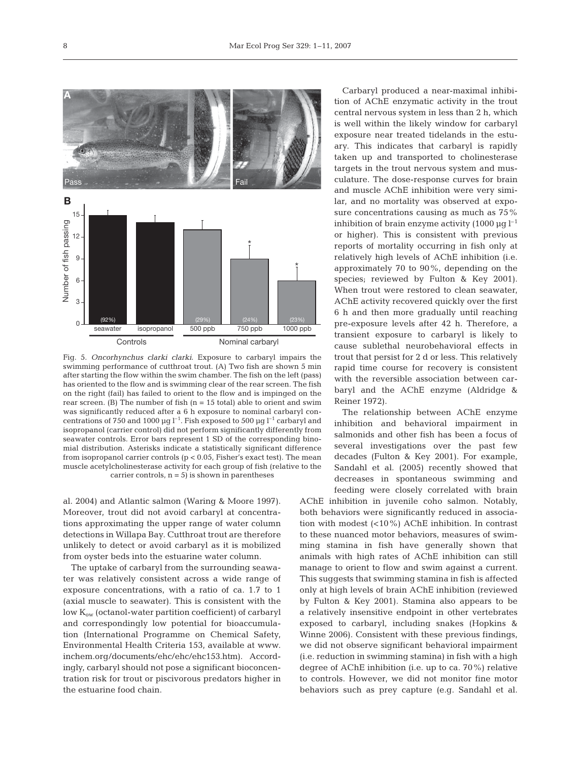

Fig. 5. *Oncorhynchus clarki clarki*. Exposure to carbaryl impairs the swimming performance of cutthroat trout. (A) Two fish are shown 5 min after starting the flow within the swim chamber. The fish on the left (pass) has oriented to the flow and is swimming clear of the rear screen. The fish on the right (fail) has failed to orient to the flow and is impinged on the rear screen. (B) The number of fish  $(n = 15$  total) able to orient and swim was significantly reduced after a 6 h exposure to nominal carbaryl concentrations of 750 and 1000 µg  $l^{-1}$ . Fish exposed to 500 µg  $l^{-1}$  carbaryl and isopropanol (carrier control) did not perform significantly differently from seawater controls. Error bars represent 1 SD of the corresponding binomial distribution. Asterisks indicate a statistically significant difference from isopropanol carrier controls ( $p < 0.05$ , Fisher's exact test). The mean muscle acetylcholinesterase activity for each group of fish (relative to the carrier controls,  $n = 5$ ) is shown in parentheses

al. 2004) and Atlantic salmon (Waring & Moore 1997). Moreover, trout did not avoid carbaryl at concentrations approximating the upper range of water column detections in Willapa Bay. Cutthroat trout are therefore unlikely to detect or avoid carbaryl as it is mobilized from oyster beds into the estuarine water column.

The uptake of carbaryl from the surrounding seawater was relatively consistent across a wide range of exposure concentrations, with a ratio of ca. 1.7 to 1 (axial muscle to seawater). This is consistent with the low K<sub>ow</sub> (octanol-water partition coefficient) of carbaryl and correspondingly low potential for bioaccumulation (International Programme on Chemical Safety, Environmental Health Criteria 153, available at www. inchem.org/documents/ehc/ehc/ehc153.htm). Accordingly, carbaryl should not pose a significant bioconcentration risk for trout or piscivorous predators higher in the estuarine food chain.

Carbaryl produced a near-maximal inhibition of AChE enzymatic activity in the trout central nervous system in less than 2 h, which is well within the likely window for carbaryl exposure near treated tidelands in the estuary. This indicates that carbaryl is rapidly taken up and transported to cholinesterase targets in the trout nervous system and musculature. The dose-response curves for brain and muscle AChE inhibition were very similar, and no mortality was observed at exposure concentrations causing as much as 75% inhibition of brain enzyme activity (1000  $\mu$ q l<sup>-1</sup> or higher). This is consistent with previous reports of mortality occurring in fish only at relatively high levels of AChE inhibition (i.e. approximately 70 to 90%, depending on the species; reviewed by Fulton & Key 2001). When trout were restored to clean seawater, AChE activity recovered quickly over the first 6 h and then more gradually until reaching pre-exposure levels after 42 h. Therefore, a transient exposure to carbaryl is likely to cause sublethal neurobehavioral effects in trout that persist for 2 d or less. This relatively rapid time course for recovery is consistent with the reversible association between carbaryl and the AChE enzyme (Aldridge & Reiner 1972).

The relationship between AChE enzyme inhibition and behavioral impairment in salmonids and other fish has been a focus of several investigations over the past few decades (Fulton & Key 2001). For example, Sandahl et al. (2005) recently showed that decreases in spontaneous swimming and feeding were closely correlated with brain

AChE inhibition in juvenile coho salmon. Notably, both behaviors were significantly reduced in association with modest (<10%) AChE inhibition. In contrast to these nuanced motor behaviors, measures of swimming stamina in fish have generally shown that animals with high rates of AChE inhibition can still manage to orient to flow and swim against a current. This suggests that swimming stamina in fish is affected only at high levels of brain AChE inhibition (reviewed by Fulton & Key 2001). Stamina also appears to be a relatively insensitive endpoint in other vertebrates exposed to carbaryl, including snakes (Hopkins & Winne 2006). Consistent with these previous findings, we did not observe significant behavioral impairment (i.e. reduction in swimming stamina) in fish with a high degree of AChE inhibition (i.e. up to ca. 70%) relative to controls. However, we did not monitor fine motor behaviors such as prey capture (e.g. Sandahl et al.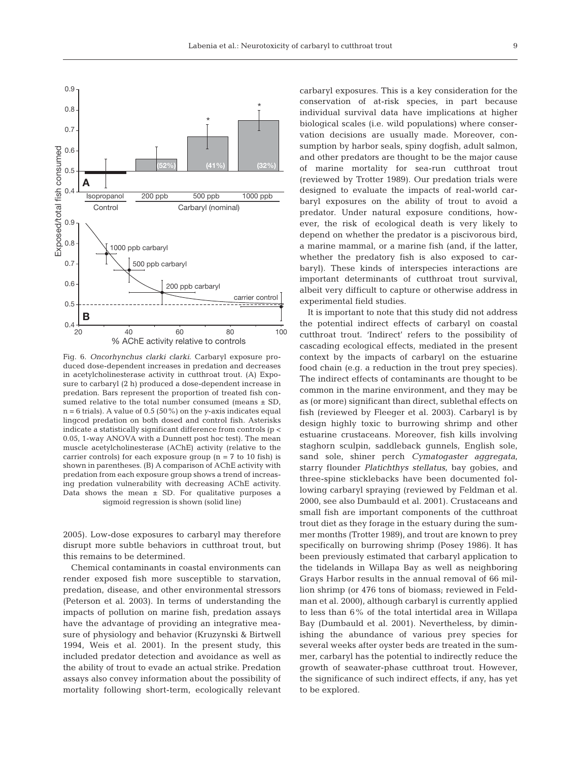

Fig. 6. *Oncorhynchus clarki clarki*. Carbaryl exposure produced dose-dependent increases in predation and decreases in acetylcholinesterase activity in cutthroat trout. (A) Exposure to carbaryl (2 h) produced a dose-dependent increase in predation. Bars represent the proportion of treated fish consumed relative to the total number consumed (means  $\pm$  SD, n = 6 trials). A value of 0.5 (50%) on the *y*-axis indicates equal lingcod predation on both dosed and control fish. Asterisks indicate a statistically significant difference from controls (p < 0.05, 1-way ANOVA with a Dunnett post hoc test). The mean muscle acetylcholinesterase (AChE) activity (relative to the carrier controls) for each exposure group ( $n = 7$  to 10 fish) is shown in parentheses. (B) A comparison of AChE activity with predation from each exposure group shows a trend of increasing predation vulnerability with decreasing AChE activity. Data shows the mean  $\pm$  SD. For qualitative purposes a sigmoid regression is shown (solid line)

2005). Low-dose exposures to carbaryl may therefore disrupt more subtle behaviors in cutthroat trout, but this remains to be determined.

Chemical contaminants in coastal environments can render exposed fish more susceptible to starvation, predation, disease, and other environmental stressors (Peterson et al. 2003). In terms of understanding the impacts of pollution on marine fish, predation assays have the advantage of providing an integrative measure of physiology and behavior (Kruzynski & Birtwell 1994, Weis et al. 2001). In the present study, this included predator detection and avoidance as well as the ability of trout to evade an actual strike. Predation assays also convey information about the possibility of mortality following short-term, ecologically relevant carbaryl exposures. This is a key consideration for the conservation of at-risk species, in part because individual survival data have implications at higher biological scales (i.e. wild populations) where conservation decisions are usually made. Moreover, consumption by harbor seals, spiny dogfish, adult salmon, and other predators are thought to be the major cause of marine mortality for sea-run cutthroat trout (reviewed by Trotter 1989). Our predation trials were designed to evaluate the impacts of real-world carbaryl exposures on the ability of trout to avoid a predator. Under natural exposure conditions, however, the risk of ecological death is very likely to depend on whether the predator is a piscivorous bird, a marine mammal, or a marine fish (and, if the latter, whether the predatory fish is also exposed to carbaryl). These kinds of interspecies interactions are important determinants of cutthroat trout survival, albeit very difficult to capture or otherwise address in experimental field studies.

It is important to note that this study did not address the potential indirect effects of carbaryl on coastal cutthroat trout. 'Indirect' refers to the possibility of cascading ecological effects, mediated in the present context by the impacts of carbaryl on the estuarine food chain (e.g. a reduction in the trout prey species). The indirect effects of contaminants are thought to be common in the marine environment, and they may be as (or more) significant than direct, sublethal effects on fish (reviewed by Fleeger et al. 2003). Carbaryl is by design highly toxic to burrowing shrimp and other estuarine crustaceans. Moreover, fish kills involving staghorn sculpin, saddleback gunnels, English sole, sand sole, shiner perch *Cymatogaster aggregata*, starry flounder *Platichthys stellatus*, bay gobies, and three-spine sticklebacks have been documented following carbaryl spraying (reviewed by Feldman et al. 2000, see also Dumbauld et al. 2001). Crustaceans and small fish are important components of the cutthroat trout diet as they forage in the estuary during the summer months (Trotter 1989), and trout are known to prey specifically on burrowing shrimp (Posey 1986). It has been previously estimated that carbaryl application to the tidelands in Willapa Bay as well as neighboring Grays Harbor results in the annual removal of 66 million shrimp (or 476 tons of biomass; reviewed in Feldman et al. 2000), although carbaryl is currently applied to less than 6% of the total intertidal area in Willapa Bay (Dumbauld et al. 2001). Nevertheless, by diminishing the abundance of various prey species for several weeks after oyster beds are treated in the summer, carbaryl has the potential to indirectly reduce the growth of seawater-phase cutthroat trout. However, the significance of such indirect effects, if any, has yet to be explored.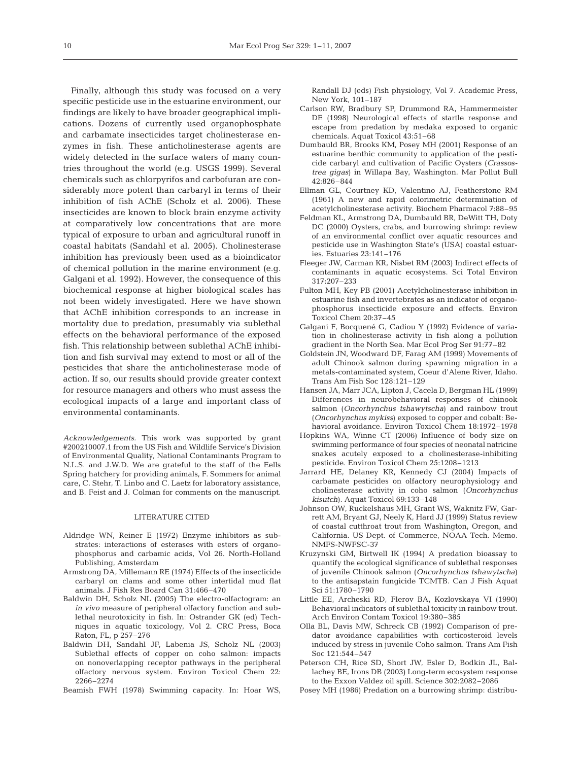Finally, although this study was focused on a very specific pesticide use in the estuarine environment, our findings are likely to have broader geographical implications. Dozens of currently used organophosphate and carbamate insecticides target cholinesterase enzymes in fish. These anticholinesterase agents are widely detected in the surface waters of many countries throughout the world (e.g. USGS 1999). Several chemicals such as chlorpyrifos and carbofuran are considerably more potent than carbaryl in terms of their inhibition of fish AChE (Scholz et al. 2006). These insecticides are known to block brain enzyme activity at comparatively low concentrations that are more typical of exposure to urban and agricultural runoff in coastal habitats (Sandahl et al. 2005). Cholinesterase inhibition has previously been used as a bioindicator of chemical pollution in the marine environment (e.g. Galgani et al. 1992). However, the consequence of this biochemical response at higher biological scales has not been widely investigated. Here we have shown that AChE inhibition corresponds to an increase in mortality due to predation, presumably via sublethal effects on the behavioral performance of the exposed fish. This relationship between sublethal AChE inhibition and fish survival may extend to most or all of the pesticides that share the anticholinesterase mode of action. If so, our results should provide greater context for resource managers and others who must assess the ecological impacts of a large and important class of environmental contaminants.

*Acknowledgements.* This work was supported by grant #200210007.1 from the US Fish and Wildlife Service's Division of Environmental Quality, National Contaminants Program to N.L.S. and J.W.D. We are grateful to the staff of the Eells Spring hatchery for providing animals, F. Sommers for animal care, C. Stehr, T. Linbo and C. Laetz for laboratory assistance, and B. Feist and J. Colman for comments on the manuscript.

## LITERATURE CITED

- Aldridge WN, Reiner E (1972) Enzyme inhibitors as substrates: interactions of esterases with esters of organophosphorus and carbamic acids, Vol 26. North-Holland Publishing, Amsterdam
- Armstrong DA, Millemann RE (1974) Effects of the insecticide carbaryl on clams and some other intertidal mud flat animals. J Fish Res Board Can 31:466–470
- Baldwin DH, Scholz NL (2005) The electro-olfactogram: an *in vivo* measure of peripheral olfactory function and sublethal neurotoxicity in fish. In: Ostrander GK (ed) Techniques in aquatic toxicology, Vol 2. CRC Press, Boca Raton, FL, p 257–276
- Baldwin DH, Sandahl JF, Labenia JS, Scholz NL (2003) Sublethal effects of copper on coho salmon: impacts on nonoverlapping receptor pathways in the peripheral olfactory nervous system. Environ Toxicol Chem 22: 2266–2274
- Beamish FWH (1978) Swimming capacity. In: Hoar WS,

Randall DJ (eds) Fish physiology, Vol 7. Academic Press, New York, 101–187

- Carlson RW, Bradbury SP, Drummond RA, Hammermeister DE (1998) Neurological effects of startle response and escape from predation by medaka exposed to organic chemicals. Aquat Toxicol 43:51–68
- Dumbauld BR, Brooks KM, Posey MH (2001) Response of an estuarine benthic community to application of the pesticide carbaryl and cultivation of Pacific Oysters (*Crassostrea gigas*) in Willapa Bay, Washington. Mar Pollut Bull 42:826–844
- Ellman GL, Courtney KD, Valentino AJ, Featherstone RM (1961) A new and rapid colorimetric determination of acetylcholinesterase activity. Biochem Pharmacol 7:88–95
- Feldman KL, Armstrong DA, Dumbauld BR, DeWitt TH, Doty DC (2000) Oysters, crabs, and burrowing shrimp: review of an environmental conflict over aquatic resources and pesticide use in Washington State's (USA) coastal estuaries. Estuaries 23:141–176
- Fleeger JW, Carman KR, Nisbet RM (2003) Indirect effects of contaminants in aquatic ecosystems. Sci Total Environ 317:207–233
- Fulton MH, Key PB (2001) Acetylcholinesterase inhibition in estuarine fish and invertebrates as an indicator of organophosphorus insecticide exposure and effects. Environ Toxicol Chem 20:37–45
- Galgani F, Bocquené G, Cadiou Y (1992) Evidence of variation in cholinesterase activity in fish along a pollution gradient in the North Sea. Mar Ecol Prog Ser 91:77–82
- Goldstein JN, Woodward DF, Farag AM (1999) Movements of adult Chinook salmon during spawning migration in a metals-contaminated system, Coeur d'Alene River, Idaho. Trans Am Fish Soc 128:121–129
- Hansen JA, Marr JCA, Lipton J, Cacela D, Bergman HL (1999) Differences in neurobehavioral responses of chinook salmon (*Oncorhynchus tshawytscha*) and rainbow trout (*Oncorhynchus mykiss*) exposed to copper and cobalt: Behavioral avoidance. Environ Toxicol Chem 18:1972–1978
- Hopkins WA, Winne CT (2006) Influence of body size on swimming performance of four species of neonatal natricine snakes acutely exposed to a cholinesterase-inhibiting pesticide. Environ Toxicol Chem 25:1208–1213
- Jarrard HE, Delaney KR, Kennedy CJ (2004) Impacts of carbamate pesticides on olfactory neurophysiology and cholinesterase activity in coho salmon (*Oncorhynchus kisutch*). Aquat Toxicol 69:133–148
- Johnson OW, Ruckelshaus MH, Grant WS, Waknitz FW, Garrett AM, Bryant GJ, Neely K, Hard JJ (1999) Status review of coastal cutthroat trout from Washington, Oregon, and California. US Dept. of Commerce, NOAA Tech. Memo. NMFS-NWFSC-37
- Kruzynski GM, Birtwell IK (1994) A predation bioassay to quantify the ecological significance of sublethal responses of juvenile Chinook salmon (*Oncorhynchus tshawytscha*) to the antisapstain fungicide TCMTB. Can J Fish Aquat Sci 51:1780–1790
- Little EE, Archeski RD, Flerov BA, Kozlovskaya VI (1990) Behavioral indicators of sublethal toxicity in rainbow trout. Arch Environ Contam Toxicol 19:380–385
- Olla BL, Davis MW, Schreck CB (1992) Comparison of predator avoidance capabilities with corticosteroid levels induced by stress in juvenile Coho salmon. Trans Am Fish Soc 121:544–547
- Peterson CH, Rice SD, Short JW, Esler D, Bodkin JL, Ballachey BE, Irons DB (2003) Long-term ecosystem response to the Exxon Valdez oil spill. Science 302:2082–2086
- Posey MH (1986) Predation on a burrowing shrimp: distribu-